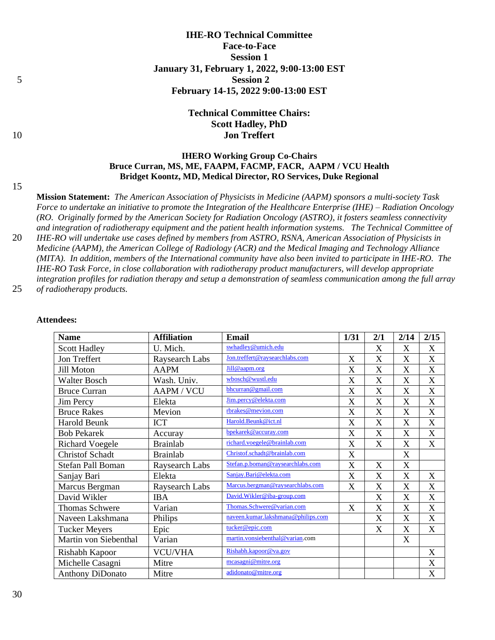# **IHE-RO Technical Committee Face-to-Face Session 1 January 31, February 1, 2022, 9:00-13:00 EST** 5 **Session 2 February 14-15, 2022 9:00-13:00 EST**

# **Technical Committee Chairs: Scott Hadley, PhD** 10 **Jon Treffert**

# **IHERO Working Group Co-Chairs Bruce Curran, MS, ME, FAAPM, FACMP, FACR, AAPM / VCU Health Bridget Koontz, MD, Medical Director, RO Services, Duke Regional**

15

**Mission Statement:** *The American Association of Physicists in Medicine (AAPM) sponsors a multi-society Task Force to undertake an initiative to promote the Integration of the Healthcare Enterprise (IHE) – Radiation Oncology (RO. Originally formed by the American Society for Radiation Oncology (ASTRO), it fosters seamless connectivity and integration of radiotherapy equipment and the patient health information systems. The Technical Committee of*  20 *IHE-RO will undertake use cases defined by members from ASTRO, RSNA, American Association of Physicists in Medicine (AAPM), the American College of Radiology (ACR) and the Medical [Imaging](mailto:I@medicalimaging.orgmging) and Technology Alliance (MITA). In addition, members of the International community have also been invited to participate in IHE-RO. The IHE-RO Task Force, in close collaboration with radiotherapy product manufacturers, will develop appropriate integration profiles for radiation therapy and setup a demonstration of seamless communication among the full array*  25 *of radiotherapy products.*

| <b>Name</b>             | <b>Affiliation</b> | <b>Email</b>                       | 1/31                      | 2/1 | 2/14                      | 2/15             |
|-------------------------|--------------------|------------------------------------|---------------------------|-----|---------------------------|------------------|
| <b>Scott Hadley</b>     | U. Mich.           | swhadley@umich.edu                 |                           | X   | X                         | X                |
| Jon Treffert            | Raysearch Labs     | Jon.treffert@raysearchlabs.com     | X                         | X   | X                         | X                |
| Jill Moton              | <b>AAPM</b>        | Jill@aapm.org                      | X                         | X   | $\boldsymbol{\mathrm{X}}$ | X                |
| <b>Walter Bosch</b>     | Wash. Univ.        | wbosch@wustl.edu                   | X                         | X   | X                         | X                |
| <b>Bruce Curran</b>     | <b>AAPM / VCU</b>  | bhcurran@gmail.com                 | X                         | X   | X                         | X                |
| Jim Percy               | Elekta             | Jim.percy@elekta.com               | X                         | X   | X                         | X                |
| <b>Bruce Rakes</b>      | Mevion             | rbrakes@mevion.com                 | X                         | X   | $\boldsymbol{\mathrm{X}}$ | X                |
| Harold Beunk            | <b>ICT</b>         | Harold.Beunk@ict.nl                | X                         | X   | $\boldsymbol{\mathrm{X}}$ | X                |
| <b>Bob Pekarek</b>      | Accuray            | bpekarek@accuray.com               | X                         | X   | X                         | X                |
| <b>Richard Voegele</b>  | <b>Brainlab</b>    | richard.voegele@brainlab.com       | X                         | X   | X                         | X                |
| <b>Christof Schadt</b>  | <b>Brainlab</b>    | Christof.schadt@brainlab.com       | X                         |     | X                         |                  |
| Stefan Pall Boman       | Raysearch Labs     | Stefan.p.boman@raysearchlabs.com   | $\boldsymbol{\mathrm{X}}$ | X   | X                         |                  |
| Sanjay Bari             | Elekta             | Sanjay.Bari@elekta.com             | X                         | X   | X                         | X                |
| Marcus Bergman          | Raysearch Labs     | Marcus.bergman@raysearchlabs.com   | $\boldsymbol{\mathrm{X}}$ | X   | X                         | X                |
| David Wikler            | <b>IBA</b>         | David.Wikler@iba-group.com         |                           | X   | X                         | X                |
| Thomas Schwere          | Varian             | Thomas.Schwere@varian.com          | X                         | X   | X                         | X                |
| Naveen Lakshmana        | Philips            | naveen.kumar.lakshmana@philips.com |                           | X   | X                         | X                |
| <b>Tucker Meyers</b>    | Epic               | tucker@epic.com                    |                           | X   | $\boldsymbol{\mathrm{X}}$ | $\boldsymbol{X}$ |
| Martin von Siebenthal   | Varian             | martin.vonsiebenthal@varian.com    |                           |     | X                         |                  |
| Rishabh Kapoor          | <b>VCU/VHA</b>     | Rishabh.kapoor@va.gov              |                           |     |                           | X                |
| Michelle Casagni        | Mitre              | mcasagni@mitre.org                 |                           |     |                           | X                |
| <b>Anthony DiDonato</b> | Mitre              | adidonato@mitre.org                |                           |     |                           | X                |

#### **Attendees:**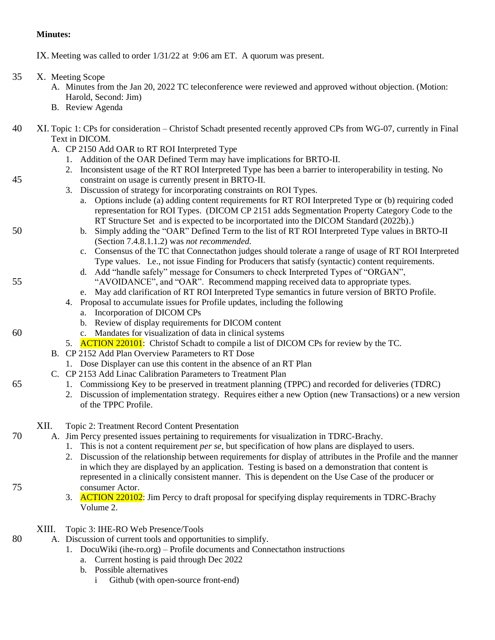# **Minutes:**

IX. Meeting was called to order 1/31/22 at 9:06 am ET. A quorum was present.

- 35 X. Meeting Scope
	- A. Minutes from the Jan 20, 2022 TC teleconference were reviewed and approved without objection. (Motion: Harold, Second: Jim)
	- B. Review Agenda

## 40 XI. Topic 1: CPs for consideration – Christof Schadt presented recently approved CPs from WG-07, currently in Final Text in DICOM.

- A. CP 2150 Add OAR to RT ROI Interpreted Type
	- 1. Addition of the OAR Defined Term may have implications for BRTO-II.
- 2. Inconsistent usage of the RT ROI Interpreted Type has been a barrier to interoperability in testing. No 45 constraint on usage is currently present in BRTO-II.
	- 3. Discussion of strategy for incorporating constraints on ROI Types.
		- a. Options include (a) adding content requirements for RT ROI Interpreted Type or (b) requiring coded representation for ROI Types. (DICOM CP 2151 adds Segmentation Property Category Code to the RT Structure Set and is expected to be incorportated into the DICOM Standard (2022b).)
- 50 b. Simply adding the "OAR" Defined Term to the list of RT ROI Interpreted Type values in BRTO-II (Section 7.4.8.1.1.2) was *not recommended.*
	- c. Consensus of the TC that Connectathon judges should tolerate a range of usage of RT ROI Interpreted Type values. I.e., not issue Finding for Producers that satisfy (syntactic) content requirements.
- d. Add "handle safely" message for Consumers to check Interpreted Types of "ORGAN", 55 "AVOIDANCE", and "OAR". Recommend mapping received data to appropriate types.
	- e. May add clarification of RT ROI Interpreted Type semantics in future version of BRTO Profile.
	- 4. Proposal to accumulate issues for Profile updates, including the following
		- a. Incorporation of DICOM CPs
		- b. Review of display requirements for DICOM content
- 60 c. Mandates for visualization of data in clinical systems
	- 5. **ACTION 220101**: Christof Schadt to compile a list of DICOM CPs for review by the TC.
	- B. CP 2152 Add Plan Overview Parameters to RT Dose
		- 1. Dose Displayer can use this content in the absence of an RT Plan
	- C. CP 2153 Add Linac Calibration Parameters to Treatment Plan
- 65 1. Commissiong Key to be preserved in treatment planning (TPPC) and recorded for deliveries (TDRC)
	- 2. Discussion of implementation strategy. Requires either a new Option (new Transactions) or a new version of the TPPC Profile.

## XII. Topic 2: Treatment Record Content Presentation

- 70 A. Jim Percy presented issues pertaining to requirements for visualization in TDRC-Brachy.
	- 1. This is not a content requirement *per se*, but specification of how plans are displayed to users.
- 2. Discussion of the relationship between requirements for display of attributes in the Profile and the manner in which they are displayed by an application. Testing is based on a demonstration that content is represented in a clinically consistent manner. This is dependent on the Use Case of the producer or 75 consumer Actor.
	- 3. ACTION 220102: Jim Percy to draft proposal for specifying display requirements in TDRC-Brachy Volume 2.
	- XIII. Topic 3: IHE-RO Web Presence/Tools
- 80 A. Discussion of current tools and opportunities to simplify.
	- 1. DocuWiki (ihe-ro.org) Profile documents and Connectathon instructions
		- a. Current hosting is paid through Dec 2022
		- b. Possible alternatives
			- i Github (with open-source front-end)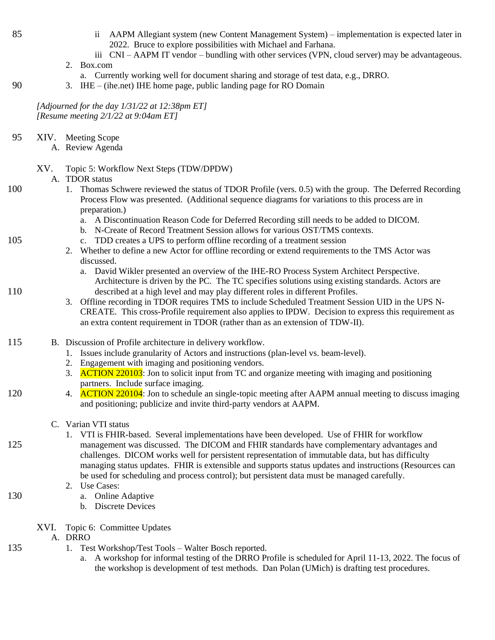- 85 ii AAPM Allegiant system (new Content Management System) implementation is expected later in 2022. Bruce to explore possibilities with Michael and Farhana.
	- iii CNI AAPM IT vendor bundling with other services (VPN, cloud server) may be advantageous.
	- 2. Box.com
		- a. Currently working well for document sharing and storage of test data, e.g., DRRO.
- 90 3. IHE (ihe.net) IHE home page, public landing page for RO Domain

*[Adjourned for the day 1/31/22 at 12:38pm ET] [Resume meeting 2/1/22 at 9:04am ET]*

95 XIV. Meeting Scope

A. Review Agenda

## XV. Topic 5: Workflow Next Steps (TDW/DPDW)

#### A. TDOR status

- 100 1. Thomas Schwere reviewed the status of TDOR Profile (vers. 0.5) with the group. The Deferred Recording Process Flow was presented. (Additional sequence diagrams for variations to this process are in preparation.)
	- a. A Discontinuation Reason Code for Deferred Recording still needs to be added to DICOM.
	- b. N-Create of Record Treatment Session allows for various OST/TMS contexts.
- 105 c. TDD creates a UPS to perform offline recording of a treatment session
	- 2. Whether to define a new Actor for offline recording or extend requirements to the TMS Actor was discussed.
- a. David Wikler presented an overview of the IHE-RO Process System Architect Perspective. Architecture is driven by the PC. The TC specifies solutions using existing standards. Actors are 110 described at a high level and may play different roles in different Profiles.
	- 3. Offline recording in TDOR requires TMS to include Scheduled Treatment Session UID in the UPS N-CREATE. This cross-Profile requirement also applies to IPDW. Decision to express this requirement as an extra content requirement in TDOR (rather than as an extension of TDW-II).
- 115 B. Discussion of Profile architecture in delivery workflow.
	- 1. Issues include granularity of Actors and instructions (plan-level vs. beam-level).
	- 2. Engagement with imaging and positioning vendors.
	- 3. **ACTION 220103**: Jon to solicit input from TC and organize meeting with imaging and positioning partners. Include surface imaging.
- 120 4. ACTION 220104: Jon to schedule an single-topic meeting after AAPM annual meeting to discuss imaging and positioning; publicize and invite third-party vendors at AAPM.

# C. Varian VTI status

- 1. VTI is FHIR-based. Several implementations have been developed. Use of FHIR for workflow 125 management was discussed. The DICOM and FHIR standards have complementary advantages and challenges. DICOM works well for persistent representation of immutable data, but has difficulty managing status updates. FHIR is extensible and supports status updates and instructions (Resources can be used for scheduling and process control); but persistent data must be managed carefully.
	- 2. Use Cases:
- 130 a. Online Adaptive
	- b. Discrete Devices
	- XVI. Topic 6: Committee Updates
		- A. DRRO
- 135 1. Test Workshop/Test Tools Walter Bosch reported.
	- a. A workshop for informal testing of the DRRO Profile is scheduled for April 11-13, 2022. The focus of the workshop is development of test methods. Dan Polan (UMich) is drafting test procedures.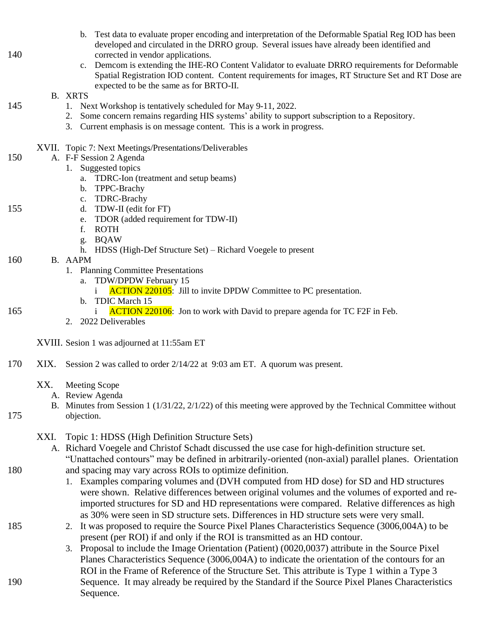- b. Test data to evaluate proper encoding and interpretation of the Deformable Spatial Reg IOD has been developed and circulated in the DRRO group. Several issues have already been identified and 140 corrected in vendor applications.
	- c. Demcom is extending the IHE-RO Content Validator to evaluate DRRO requirements for Deformable Spatial Registration IOD content. Content requirements for images, RT Structure Set and RT Dose are expected to be the same as for BRTO-II.

#### B. XRTS

- 145 1. Next Workshop is tentatively scheduled for May 9-11, 2022.
	- 2. Some concern remains regarding HIS systems' ability to support subscription to a Repository.
	- 3. Current emphasis is on message content. This is a work in progress.
	- XVII. Topic 7: Next Meetings/Presentations/Deliverables
- 150 A. F-F Session 2 Agenda
	- 1. Suggested topics
		- a. TDRC-Ion (treatment and setup beams)
		- b. TPPC-Brachy
	- c. TDRC-Brachy
- 155 d. TDW-II (edit for FT)
	- e. TDOR (added requirement for TDW-II)
		- f. ROTH
		- g. BQAW
		- h. HDSS (High-Def Structure Set) Richard Voegele to present
- 160 B. AAPM
	- 1. Planning Committee Presentations
		- a. TDW/DPDW February 15
			- i ACTION 220105: Jill to invite DPDW Committee to PC presentation.
		- b. TDIC March 15
- 165 i ACTION 220106: Jon to work with David to prepare agenda for TC F2F in Feb.
	- 2. 2022 Deliverables

XVIII. Sesion 1 was adjourned at 11:55am ET

- 170 XIX. Session 2 was called to order 2/14/22 at 9:03 am ET. A quorum was present.
	- XX. Meeting Scope
		- A. Review Agenda
		- B. Minutes from Session 1 (1/31/22, 2/1/22) of this meeting were approved by the Technical Committee without
- 175 objection.

XXI. Topic 1: HDSS (High Definition Structure Sets)

- A. Richard Voegele and Christof Schadt discussed the use case for high-definition structure set. "Unattached contours" may be defined in arbitrarily-oriented (non-axial) parallel planes. Orientation
- 180 and spacing may vary across ROIs to optimize definition.
	- 1. Examples comparing volumes and (DVH computed from HD dose) for SD and HD structures were shown. Relative differences between original volumes and the volumes of exported and reimported structures for SD and HD representations were compared. Relative differences as high as 30% were seen in SD structure sets. Differences in HD structure sets were very small.
- 185 2. It was proposed to require the Source Pixel Planes Characteristics Sequence (3006,004A) to be present (per ROI) if and only if the ROI is transmitted as an HD contour.

3. Proposal to include the Image Orientation (Patient) (0020,0037) attribute in the Source Pixel Planes Characteristics Sequence (3006,004A) to indicate the orientation of the contours for an ROI in the Frame of Reference of the Structure Set. This attribute is Type 1 within a Type 3 190 Sequence. It may already be required by the Standard if the Source Pixel Planes Characteristics Sequence.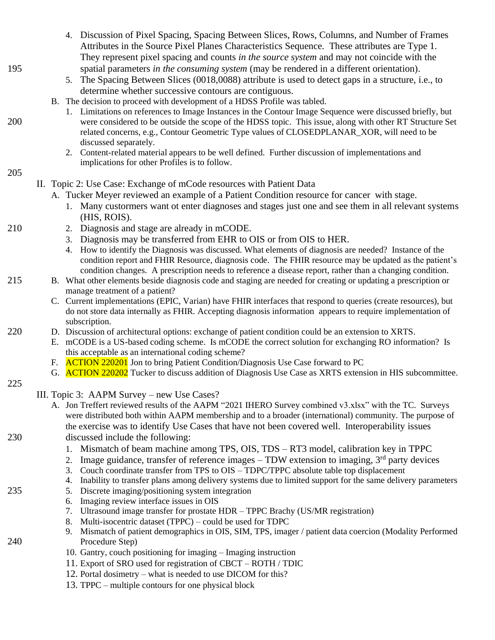- 4. Discussion of Pixel Spacing, Spacing Between Slices, Rows, Columns, and Number of Frames Attributes in the Source Pixel Planes Characteristics Sequence. These attributes are Type 1. They represent pixel spacing and counts *in the source system* and may not coincide with the 195 spatial parameters *in the consuming system* (may be rendered in a different orientation).
	- 5. The Spacing Between Slices (0018,0088) attribute is used to detect gaps in a structure, i.e., to determine whether successive contours are contiguous.
	- B. The decision to proceed with development of a HDSS Profile was tabled.
- 1. Limitations on references to Image Instances in the Contour Image Sequence were discussed briefly, but 200 were considered to be outside the scope of the HDSS topic. This issue, along with other RT Structure Set related concerns, e.g., Contour Geometric Type values of CLOSEDPLANAR\_XOR, will need to be discussed separately.
	- 2. Content-related material appears to be well defined. Further discussion of implementations and implications for other Profiles is to follow.

#### 205

- II. Topic 2: Use Case: Exchange of mCode resources with Patient Data
	- A. Tucker Meyer reviewed an example of a Patient Condition resource for cancer with stage.
		- 1. Many custormers want ot enter diagnoses and stages just one and see them in all relevant systems (HIS, ROIS).
- 210 2. Diagnosis and stage are already in mCODE.
	- 3. Diagnosis may be transferred from EHR to OIS or from OIS to HER.
	- 4. How to identify the Diagnosis was discussed. What elements of diagnosis are needed? Instance of the condition report and FHIR Resource, diagnosis code. The FHIR resource may be updated as the patient's condition changes. A prescription needs to reference a disease report, rather than a changing condition.
- 215 B. What other elements beside diagnosis code and staging are needed for creating or updating a prescription or manage treatment of a patient?
	- C. Current implementations (EPIC, Varian) have FHIR interfaces that respond to queries (create resources), but do not store data internally as FHIR. Accepting diagnosis information appears to require implementation of subscription.
- 220 D. Discussion of architectural options: exchange of patient condition could be an extension to XRTS.
	- E. mCODE is a US-based coding scheme. Is mCODE the correct solution for exchanging RO information? Is this acceptable as an international coding scheme?
	- F. ACTION 220201 Jon to bring Patient Condition/Diagnosis Use Case forward to PC
	- G. **ACTION 220202** Tucker to discuss addition of Diagnosis Use Case as XRTS extension in HIS subcommittee.
- 225

#### III. Topic 3: AAPM Survey – new Use Cases?

- A. Jon Treffert reviewed results of the AAPM "2021 IHERO Survey combined v3.xlsx" with the TC. Surveys were distributed both within AAPM membership and to a broader (international) community. The purpose of the exercise was to identify Use Cases that have not been covered well. Interoperability issues
- 230 discussed include the following:
	- 1. Mismatch of beam machine among TPS, OIS, TDS RT3 model, calibration key in TPPC
	- 2. Image guidance, transfer of reference images  $-$  TDW extension to imaging,  $3<sup>rd</sup>$  party devices
	- 3. Couch coordinate transfer from TPS to OIS TDPC/TPPC absolute table top displacement
	- 4. Inability to transfer plans among delivery systems due to limited support for the same delivery parameters
- 235 5. Discrete imaging/positioning system integration
	- 6. Imaging review interface issues in OIS
		- 7. Ultrasound image transfer for prostate HDR TPPC Brachy (US/MR registration)
		- 8. Multi-isocentric dataset (TPPC) could be used for TDPC
- 9. Mismatch of patient demographics in OIS, SIM, TPS, imager / patient data coercion (Modality Performed 240 Procedure Step)
	- 10. Gantry, couch positioning for imaging Imaging instruction
	- 11. Export of SRO used for registration of CBCT ROTH / TDIC
	- 12. Portal dosimetry what is needed to use DICOM for this?
	- 13. TPPC multiple contours for one physical block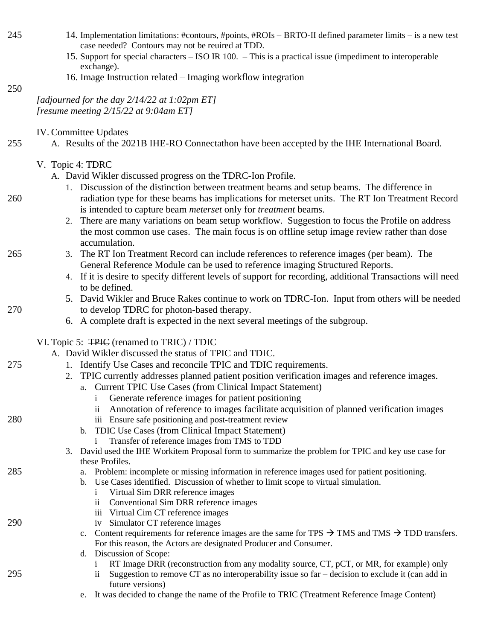- 245 14. Implementation limitations: #contours, #points, #ROIs BRTO-II defined parameter limits is a new test case needed? Contours may not be reuired at TDD.
	- 15. Support for special characters ISO IR 100. This is a practical issue (impediment to interoperable exchange).
	- 16. Image Instruction related Imaging workflow integration

250

*[adjourned for the day 2/14/22 at 1:02pm ET] [resume meeting 2/15/22 at 9:04am ET]*

IV. Committee Updates

- 255 A. Results of the 2021B IHE-RO Connectathon have been accepted by the IHE International Board.
	- V. Topic 4: TDRC

A. David Wikler discussed progress on the TDRC-Ion Profile.

- 1. Discussion of the distinction between treatment beams and setup beams. The difference in 260 radiation type for these beams has implications for meterset units. The RT Ion Treatment Record is intended to capture beam *meterset* only for *treatment* beams.
	- 2. There are many variations on beam setup workflow. Suggestion to focus the Profile on address the most common use cases. The main focus is on offline setup image review rather than dose accumulation.
- 265 3. The RT Ion Treatment Record can include references to reference images (per beam). The General Reference Module can be used to reference imaging Structured Reports.
	- 4. If it is desire to specify different levels of support for recording, additional Transactions will need to be defined.
- 5. David Wikler and Bruce Rakes continue to work on TDRC-Ion. Input from others will be needed 270 to develop TDRC for photon-based therapy.
	- 6. A complete draft is expected in the next several meetings of the subgroup.

VI. Topic 5: TPIC (renamed to TRIC) / TDIC

A. David Wikler discussed the status of TPIC and TDIC.

- 275 1. Identify Use Cases and reconcile TPIC and TDIC requirements.
	- 2. TPIC currently addresses planned patient position verification images and reference images.
		- a. Current TPIC Use Cases (from Clinical Impact Statement)
			- i Generate reference images for patient positioning
			- ii Annotation of reference to images facilitate acquisition of planned verification images
- 280 iii Ensure safe positioning and post-treatment review
	- b. TDIC Use Cases (from Clinical Impact Statement)
		- i Transfer of reference images from TMS to TDD
	- 3. David used the IHE Workitem Proposal form to summarize the problem for TPIC and key use case for these Profiles.
- 285 a. Problem: incomplete or missing information in reference images used for patient positioning.
	- b. Use Cases identified. Discussion of whether to limit scope to virtual simulation.
		- i Virtual Sim DRR reference images
		- ii Conventional Sim DRR reference images
		- iii Virtual Cim CT reference images
- 290 iv Simulator CT reference images
	- c. Content requirements for reference images are the same for TPS  $\rightarrow$  TMS and TMS  $\rightarrow$  TDD transfers. For this reason, the Actors are designated Producer and Consumer.
	- d. Discussion of Scope:
		- i RT Image DRR (reconstruction from any modality source, CT, pCT, or MR, for example) only
- 295 ii Suggestion to remove CT as no interoperability issue so far decision to exclude it (can add in future versions)
	- e. It was decided to change the name of the Profile to TRIC (Treatment Reference Image Content)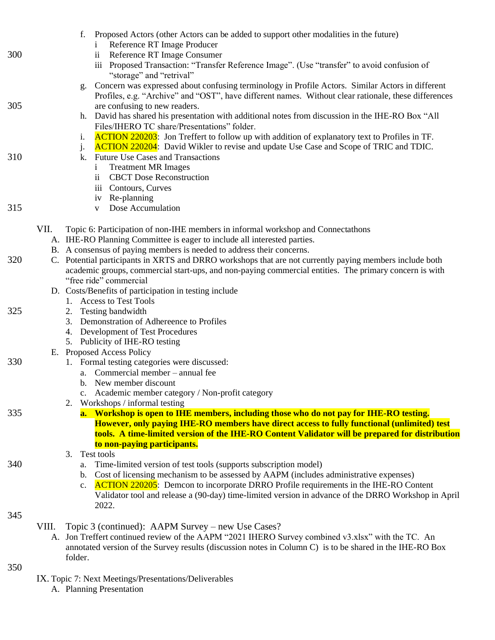|     | Proposed Actors (other Actors can be added to support other modalities in the future)<br>f.<br>Reference RT Image Producer   |
|-----|------------------------------------------------------------------------------------------------------------------------------|
| 300 | Reference RT Image Consumer<br>$\overline{\mathbf{u}}$                                                                       |
|     | iii Proposed Transaction: "Transfer Reference Image". (Use "transfer" to avoid confusion of                                  |
|     | "storage" and "retrival"<br>Concern was expressed about confusing terminology in Profile Actors. Similar Actors in different |
|     | g.<br>Profiles, e.g. "Archive" and "OST", have different names. Without clear rationale, these differences                   |
| 305 | are confusing to new readers.                                                                                                |
|     | h. David has shared his presentation with additional notes from discussion in the IHE-RO Box "All                            |
|     | Files/IHERO TC share/Presentations" folder.                                                                                  |
|     | <b>ACTION 220203:</b> Jon Treffert to follow up with addition of explanatory text to Profiles in TF.<br>i.                   |
|     | <b>ACTION 220204:</b> David Wikler to revise and update Use Case and Scope of TRIC and TDIC.<br>j.                           |
| 310 | <b>Future Use Cases and Transactions</b><br>k.                                                                               |
|     | <b>Treatment MR Images</b><br>$\mathbf{1}$                                                                                   |
|     | <b>CBCT</b> Dose Reconstruction<br>$\overline{\mathbf{u}}$                                                                   |
|     | iii Contours, Curves                                                                                                         |
|     | iv Re-planning                                                                                                               |
| 315 | Dose Accumulation<br>V                                                                                                       |
|     | VII.<br>Topic 6: Participation of non-IHE members in informal workshop and Connectathons                                     |
|     | A. IHE-RO Planning Committee is eager to include all interested parties.                                                     |
|     | B. A consensus of paying members is needed to address their concerns.                                                        |
| 320 | C. Potential participants in XRTS and DRRO workshops that are not currently paying members include both                      |
|     | academic groups, commercial start-ups, and non-paying commercial entities. The primary concern is with                       |
|     | "free ride" commercial                                                                                                       |
|     | D. Costs/Benefits of participation in testing include                                                                        |
|     | 1. Access to Test Tools                                                                                                      |
| 325 | 2. Testing bandwidth                                                                                                         |
|     | Demonstration of Adhereence to Profiles<br>3.                                                                                |
|     | 4. Development of Test Procedures                                                                                            |
|     | 5. Publicity of IHE-RO testing<br>E. Proposed Access Policy                                                                  |
| 330 | 1. Formal testing categories were discussed:                                                                                 |
|     | a. Commercial member – annual fee                                                                                            |
|     | b. New member discount                                                                                                       |
|     | c. Academic member category / Non-profit category                                                                            |
|     | 2. Workshops / informal testing                                                                                              |
| 335 | a. Workshop is open to IHE members, including those who do not pay for IHE-RO testing.                                       |
|     | However, only paying IHE-RO members have direct access to fully functional (unlimited) test                                  |
|     | tools. A time-limited version of the IHE-RO Content Validator will be prepared for distribution                              |
|     | to non-paying participants.<br>Test tools                                                                                    |
| 340 | 3.<br>Time-limited version of test tools (supports subscription model)<br>а.                                                 |
|     | Cost of licensing mechanism to be assessed by AAPM (includes administrative expenses)<br>b.                                  |
|     | $\Lambda$ CTION 220205. Demeon to incorporate DRRO Profile requirements in the IHE RO Content                                |

c. **ACTION 220205**: Demcon to incorporate DRRO Profile requirements in the IHE-RO Content Validator tool and release a (90-day) time-limited version in advance of the DRRO Workshop in April 2022.

#### 345

- VIII. Topic 3 (continued): AAPM Survey new Use Cases?
	- A. Jon Treffert continued review of the AAPM "2021 IHERO Survey combined v3.xlsx" with the TC. An annotated version of the Survey results (discussion notes in Column C) is to be shared in the IHE-RO Box folder.
- 350
- IX. Topic 7: Next Meetings/Presentations/Deliverables
	- A. Planning Presentation